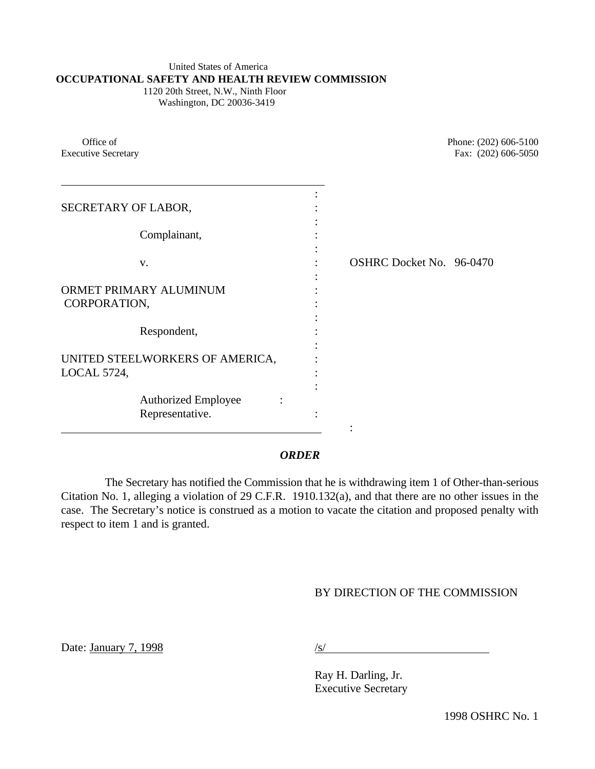### United States of America **OCCUPATIONAL SAFETY AND HEALTH REVIEW COMMISSION**

 1120 20th Street, N.W., Ninth Floor Washington, DC 20036-3419

| Office of<br><b>Executive Secretary</b>               |                          | Phone: (202) 606-5100<br>Fax: (202) 606-5050 |
|-------------------------------------------------------|--------------------------|----------------------------------------------|
| SECRETARY OF LABOR,                                   |                          |                                              |
| Complainant,                                          |                          |                                              |
| V.                                                    | OSHRC Docket No. 96-0470 |                                              |
| ORMET PRIMARY ALUMINUM<br>CORPORATION,                |                          |                                              |
| Respondent,                                           |                          |                                              |
| UNITED STEELWORKERS OF AMERICA,<br><b>LOCAL 5724,</b> |                          |                                              |
| <b>Authorized Employee</b><br>Representative.         |                          |                                              |

## *ORDER*

The Secretary has notified the Commission that he is withdrawing item 1 of Other-than-serious Citation No. 1, alleging a violation of 29 C.F.R. 1910.132(a), and that there are no other issues in the case. The Secretary's notice is construed as a motion to vacate the citation and proposed penalty with respect to item 1 and is granted.

# BY DIRECTION OF THE COMMISSION

Date: January 7, 1998 /s/

Ray H. Darling, Jr. Executive Secretary